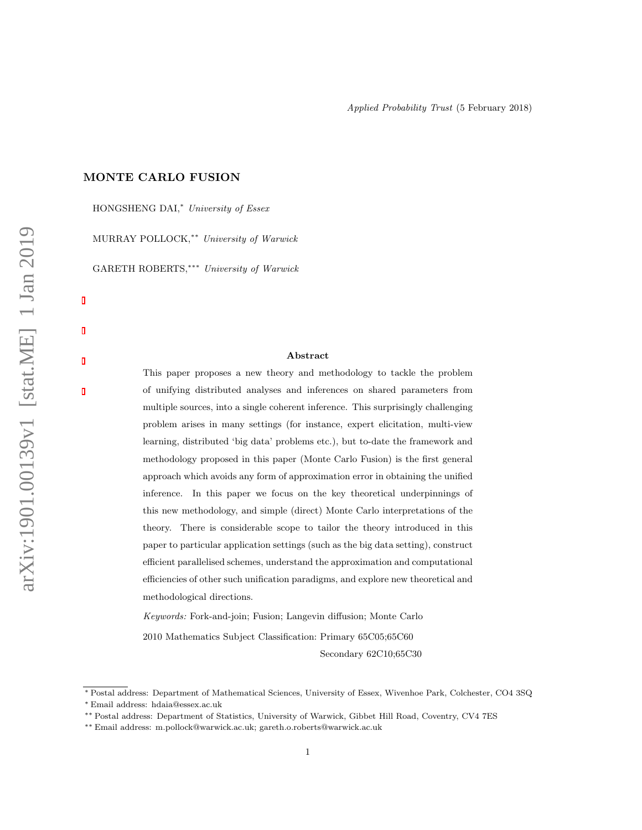### MONTE CARLO FUSION

HONGSHENG DAI,<sup>\*</sup> University of Essex MURRAY POLLOCK,∗∗ University of Warwick GARETH ROBERTS,∗∗∗ University of Warwick

#### Abstract

This paper proposes a new theory and methodology to tackle the problem of unifying distributed analyses and inferences on shared parameters from multiple sources, into a single coherent inference. This surprisingly challenging problem arises in many settings (for instance, expert elicitation, multi-view learning, distributed 'big data' problems etc.), but to-date the framework and methodology proposed in this paper (Monte Carlo Fusion) is the first general approach which avoids any form of approximation error in obtaining the unified inference. In this paper we focus on the key theoretical underpinnings of this new methodology, and simple (direct) Monte Carlo interpretations of the theory. There is considerable scope to tailor the theory introduced in this paper to particular application settings (such as the big data setting), construct efficient parallelised schemes, understand the approximation and computational efficiencies of other such unification paradigms, and explore new theoretical and methodological directions.

Keywords: Fork-and-join; Fusion; Langevin diffusion; Monte Carlo 2010 Mathematics Subject Classification: Primary 65C05;65C60 Secondary 62C10;65C30

<sup>∗</sup> Postal address: Department of Mathematical Sciences, University of Essex, Wivenhoe Park, Colchester, CO4 3SQ

<sup>∗</sup> Email address: hdaia@essex.ac.uk

<sup>∗∗</sup> Postal address: Department of Statistics, University of Warwick, Gibbet Hill Road, Coventry, CV4 7ES

<sup>∗∗</sup> Email address: m.pollock@warwick.ac.uk; gareth.o.roberts@warwick.ac.uk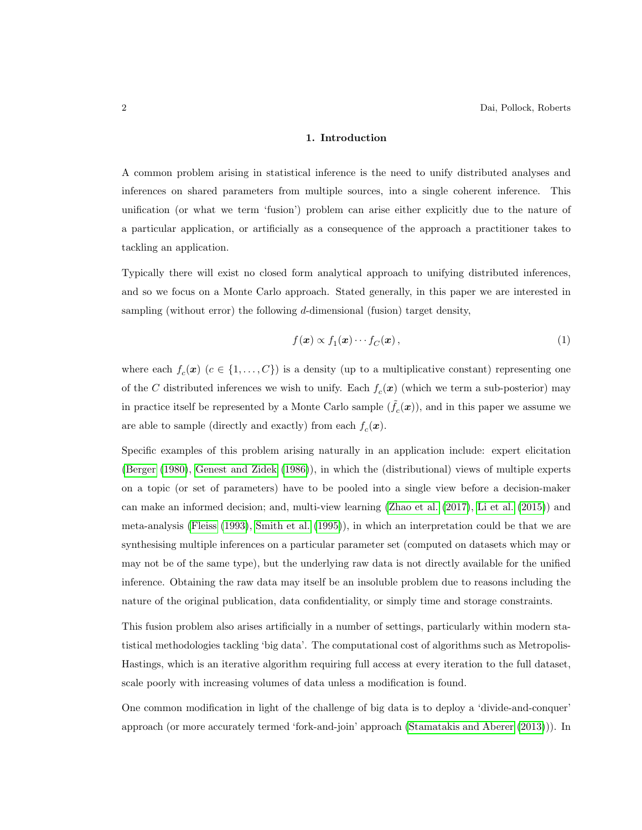### 1. Introduction

<span id="page-1-1"></span>A common problem arising in statistical inference is the need to unify distributed analyses and inferences on shared parameters from multiple sources, into a single coherent inference. This unification (or what we term 'fusion') problem can arise either explicitly due to the nature of a particular application, or artificially as a consequence of the approach a practitioner takes to tackling an application.

Typically there will exist no closed form analytical approach to unifying distributed inferences, and so we focus on a Monte Carlo approach. Stated generally, in this paper we are interested in sampling (without error) the following  $d$ -dimensional (fusion) target density,

<span id="page-1-0"></span>
$$
f(\boldsymbol{x}) \propto f_1(\boldsymbol{x}) \cdots f_C(\boldsymbol{x}), \qquad (1)
$$

where each  $f_c(\mathbf{x})$  ( $c \in \{1, ..., C\}$ ) is a density (up to a multiplicative constant) representing one of the C distributed inferences we wish to unify. Each  $f_c(\mathbf{x})$  (which we term a sub-posterior) may in practice itself be represented by a Monte Carlo sample  $(\tilde{f}_c(\boldsymbol{x}))$ , and in this paper we assume we are able to sample (directly and exactly) from each  $f_c(\mathbf{x})$ .

Specific examples of this problem arising naturally in an application include: expert elicitation [\(Berger](#page-20-0) [\(1980\)](#page-20-0), [Genest and Zidek](#page-20-1) [\(1986\)](#page-20-1)), in which the (distributional) views of multiple experts on a topic (or set of parameters) have to be pooled into a single view before a decision-maker can make an informed decision; and, multi-view learning [\(Zhao et al.](#page-21-0) [\(2017\)](#page-21-0), [Li et al.](#page-20-2) [\(2015\)](#page-20-2)) and meta-analysis [\(Fleiss](#page-20-3) [\(1993\)](#page-20-3), [Smith et al.](#page-21-1) [\(1995\)](#page-21-1)), in which an interpretation could be that we are synthesising multiple inferences on a particular parameter set (computed on datasets which may or may not be of the same type), but the underlying raw data is not directly available for the unified inference. Obtaining the raw data may itself be an insoluble problem due to reasons including the nature of the original publication, data confidentiality, or simply time and storage constraints.

This fusion problem also arises artificially in a number of settings, particularly within modern statistical methodologies tackling 'big data'. The computational cost of algorithms such as Metropolis-Hastings, which is an iterative algorithm requiring full access at every iteration to the full dataset, scale poorly with increasing volumes of data unless a modification is found.

One common modification in light of the challenge of big data is to deploy a 'divide-and-conquer' approach (or more accurately termed 'fork-and-join' approach [\(Stamatakis and Aberer](#page-21-2) [\(2013\)](#page-21-2))). In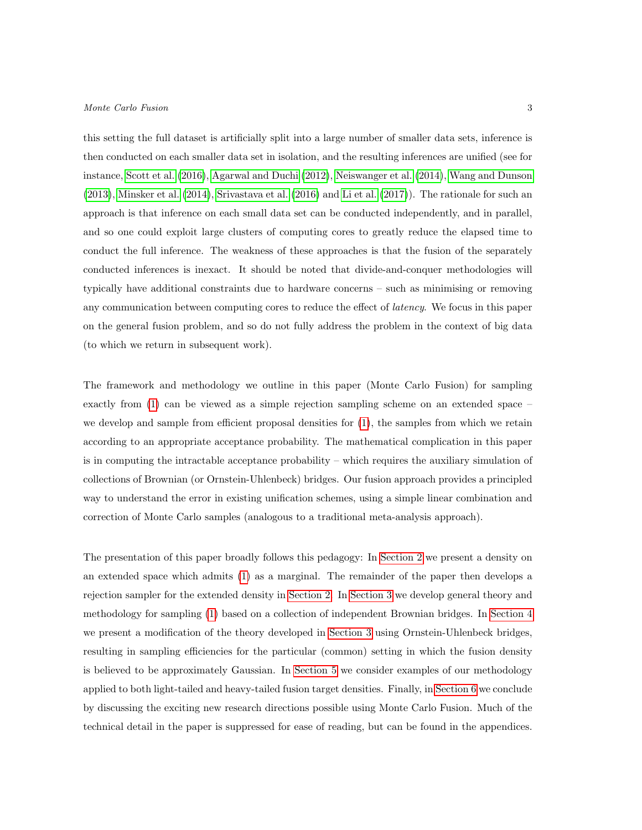this setting the full dataset is artificially split into a large number of smaller data sets, inference is then conducted on each smaller data set in isolation, and the resulting inferences are unified (see for instance, [Scott et al.](#page-21-3) [\(2016\)](#page-21-3), [Agarwal and Duchi](#page-20-4) [\(2012\)](#page-20-4), [Neiswanger et al.](#page-21-4) [\(2014\)](#page-21-4), [Wang and Dunson](#page-21-5) [\(2013\)](#page-21-5), [Minsker et al.](#page-21-6) [\(2014\)](#page-21-6), [Srivastava et al.](#page-21-7) [\(2016\)](#page-21-7) and [Li et al.](#page-20-5) [\(2017\)](#page-20-5)). The rationale for such an approach is that inference on each small data set can be conducted independently, and in parallel, and so one could exploit large clusters of computing cores to greatly reduce the elapsed time to conduct the full inference. The weakness of these approaches is that the fusion of the separately conducted inferences is inexact. It should be noted that divide-and-conquer methodologies will typically have additional constraints due to hardware concerns – such as minimising or removing any communication between computing cores to reduce the effect of *latency*. We focus in this paper on the general fusion problem, and so do not fully address the problem in the context of big data (to which we return in subsequent work).

The framework and methodology we outline in this paper (Monte Carlo Fusion) for sampling exactly from [\(1\)](#page-1-0) can be viewed as a simple rejection sampling scheme on an extended space – we develop and sample from efficient proposal densities for  $(1)$ , the samples from which we retain according to an appropriate acceptance probability. The mathematical complication in this paper is in computing the intractable acceptance probability – which requires the auxiliary simulation of collections of Brownian (or Ornstein-Uhlenbeck) bridges. Our fusion approach provides a principled way to understand the error in existing unification schemes, using a simple linear combination and correction of Monte Carlo samples (analogous to a traditional meta-analysis approach).

The presentation of this paper broadly follows this pedagogy: In [Section 2](#page-3-0) we present a density on an extended space which admits [\(1\)](#page-1-0) as a marginal. The remainder of the paper then develops a rejection sampler for the extended density in [Section 2.](#page-3-0) In [Section 3](#page-3-1) we develop general theory and methodology for sampling [\(1\)](#page-1-0) based on a collection of independent Brownian bridges. In [Section 4](#page-7-0) we present a modification of the theory developed in [Section 3](#page-3-1) using Ornstein-Uhlenbeck bridges, resulting in sampling efficiencies for the particular (common) setting in which the fusion density is believed to be approximately Gaussian. In [Section 5](#page-11-0) we consider examples of our methodology applied to both light-tailed and heavy-tailed fusion target densities. Finally, in [Section 6](#page-15-0) we conclude by discussing the exciting new research directions possible using Monte Carlo Fusion. Much of the technical detail in the paper is suppressed for ease of reading, but can be found in the appendices.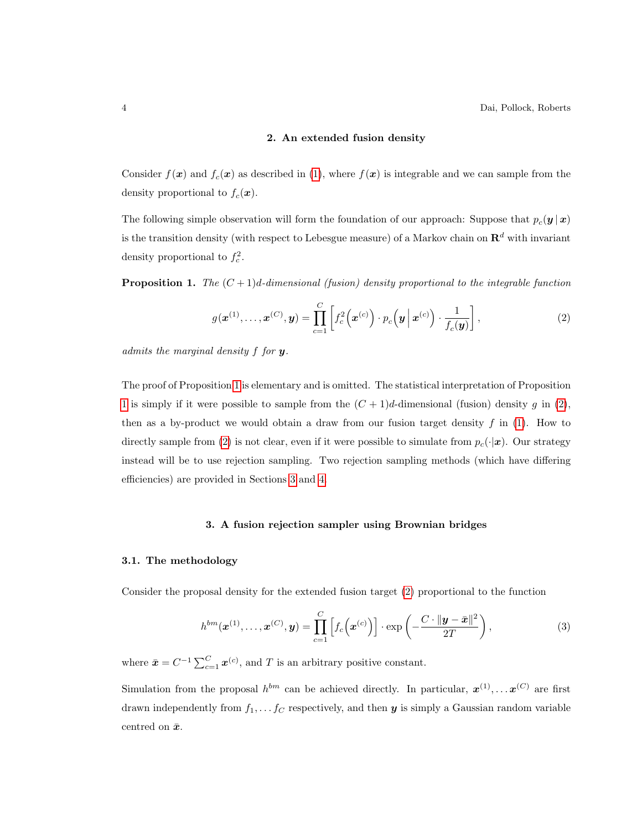### <span id="page-3-3"></span>2. An extended fusion density

<span id="page-3-0"></span>Consider  $f(\mathbf{x})$  and  $f_c(\mathbf{x})$  as described in [\(1\)](#page-1-0), where  $f(\mathbf{x})$  is integrable and we can sample from the density proportional to  $f_c(\mathbf{x})$ .

The following simple observation will form the foundation of our approach: Suppose that  $p_c(\mathbf{y} | \mathbf{x})$ is the transition density (with respect to Lebesgue measure) of a Markov chain on  $\mathbb{R}^d$  with invariant density proportional to  $f_c^2$ .

<span id="page-3-2"></span>**Proposition 1.** The  $(C+1)d$ -dimensional (fusion) density proportional to the integrable function

$$
g(\boldsymbol{x}^{(1)},\ldots,\boldsymbol{x}^{(C)},\boldsymbol{y})=\prod_{c=1}^C\left[f_c^2\left(\boldsymbol{x}^{(c)}\right)\cdot p_c\left(\boldsymbol{y}\,\big|\,\boldsymbol{x}^{(c)}\right)\cdot\frac{1}{f_c(\boldsymbol{y})}\right],\tag{2}
$$

admits the marginal density  $f$  for  $y$ .

The proof of Proposition [1](#page-3-2) is elementary and is omitted. The statistical interpretation of Proposition [1](#page-3-2) is simply if it were possible to sample from the  $(C + 1)d$ -dimensional (fusion) density g in [\(2\)](#page-3-3), then as a by-product we would obtain a draw from our fusion target density  $f$  in [\(1\)](#page-1-0). How to directly sample from [\(2\)](#page-3-3) is not clear, even if it were possible to simulate from  $p_c(\cdot|\mathbf{x})$ . Our strategy instead will be to use rejection sampling. Two rejection sampling methods (which have differing efficiencies) are provided in Sections [3](#page-3-1) and [4.](#page-7-0)

### 3. A fusion rejection sampler using Brownian bridges

#### <span id="page-3-1"></span>3.1. The methodology

Consider the proposal density for the extended fusion target [\(2\)](#page-3-3) proportional to the function

<span id="page-3-4"></span>
$$
h^{bm}(\boldsymbol{x}^{(1)},\ldots,\boldsymbol{x}^{(C)},\boldsymbol{y}) = \prod_{c=1}^C \left[ f_c\left(\boldsymbol{x}^{(c)}\right) \right] \cdot \exp\left(-\frac{C \cdot \|\boldsymbol{y} - \bar{\boldsymbol{x}}\|^2}{2T}\right),\tag{3}
$$

where  $\bar{\mathbf{x}} = C^{-1} \sum_{c=1}^{C} \mathbf{x}^{(c)}$ , and T is an arbitrary positive constant.

Simulation from the proposal  $h^{bm}$  can be achieved directly. In particular,  $x^{(1)}, \ldots x^{(C)}$  are first drawn independently from  $f_1, \ldots, f_C$  respectively, and then  $y$  is simply a Gaussian random variable centred on  $\bar{x}$ .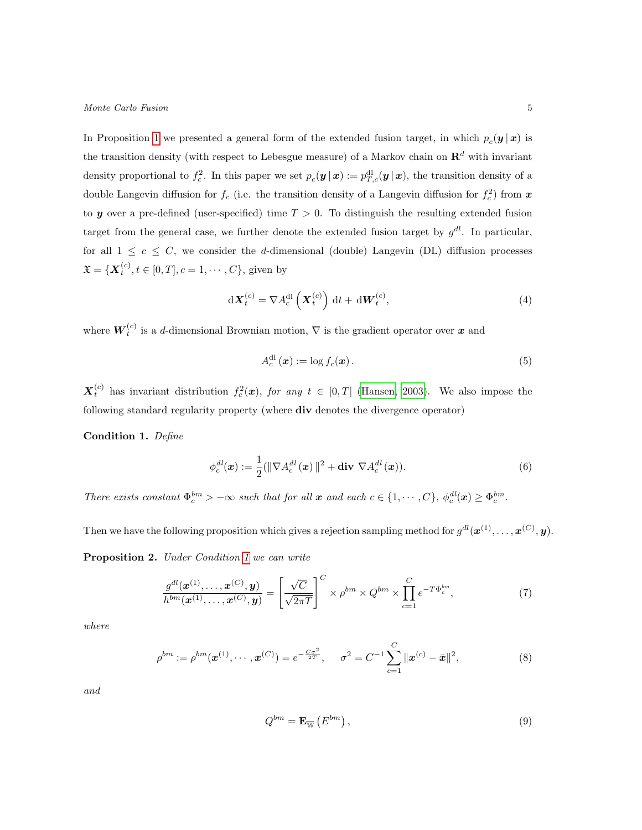In Proposition [1](#page-3-2) we presented a general form of the extended fusion target, in which  $p_c(\mathbf{y} | \mathbf{x})$  is the transition density (with respect to Lebesgue measure) of a Markov chain on  $\mathbb{R}^d$  with invariant density proportional to  $f_c^2$ . In this paper we set  $p_c(\mathbf{y} | \mathbf{x}) := p_{T,c}^{\text{dl}}(\mathbf{y} | \mathbf{x})$ , the transition density of a double Langevin diffusion for  $f_c$  (i.e. the transition density of a Langevin diffusion for  $f_c^2$ ) from  $x$ to y over a pre-defined (user-specified) time  $T > 0$ . To distinguish the resulting extended fusion target from the general case, we further denote the extended fusion target by  $g^{dl}$ . In particular, for all  $1 \leq c \leq C$ , we consider the d-dimensional (double) Langevin (DL) diffusion processes  $\mathfrak{X} = \{ \boldsymbol{X}_t^{(c)}, t \in [0, T], c = 1, \cdots, C \},$  given by

$$
\mathrm{d}\boldsymbol{X}_{t}^{(c)} = \nabla A_{c}^{\mathrm{dl}}\left(\boldsymbol{X}_{t}^{(c)}\right) \mathrm{d}t + \mathrm{d}\boldsymbol{W}_{t}^{(c)},\tag{4}
$$

where  $W_t^{(c)}$  is a d-dimensional Brownian motion,  $\nabla$  is the gradient operator over x and

<span id="page-4-2"></span><span id="page-4-1"></span>
$$
A_c^{\text{dl}}(\boldsymbol{x}) := \log f_c(\boldsymbol{x}) \,. \tag{5}
$$

 $\boldsymbol{X}_t^{(c)}$  has invariant distribution  $f_c^2(\boldsymbol{x})$ , for any  $t \in [0,T]$  [\(Hansen, 2003\)](#page-20-6). We also impose the following standard regularity property (where div denotes the divergence operator)

<span id="page-4-0"></span>Condition 1. Define

$$
\phi_c^{dl}(\boldsymbol{x}) := \frac{1}{2} (\|\nabla A_c^{dl}(\boldsymbol{x})\|^2 + \textbf{div }\nabla A_c^{dl}(\boldsymbol{x})).
$$
\n(6)

There exists constant  $\Phi_c^{bm} > -\infty$  such that for all  $\boldsymbol{x}$  and each  $c \in \{1, \dots, C\}$ ,  $\phi_c^{dl}(\boldsymbol{x}) \geq \Phi_c^{bm}$ .

<span id="page-4-3"></span>Then we have the following proposition which gives a rejection sampling method for  $g^{dl}(\boldsymbol{x}^{(1)},\ldots,\boldsymbol{x}^{(C)},\boldsymbol{y})$ .

Proposition 2. Under Condition [1](#page-4-0) we can write

$$
\frac{g^{dl}(\boldsymbol{x}^{(1)},\ldots,\boldsymbol{x}^{(C)},\boldsymbol{y})}{h^{bm}(\boldsymbol{x}^{(1)},\ldots,\boldsymbol{x}^{(C)},\boldsymbol{y})} = \left[\frac{\sqrt{C}}{\sqrt{2\pi T}}\right]^C \times \rho^{bm} \times Q^{bm} \times \prod_{c=1}^C e^{-T\Phi_c^{bm}},\tag{7}
$$

where

$$
\rho^{bm} := \rho^{bm}(\boldsymbol{x}^{(1)}, \cdots, \boldsymbol{x}^{(C)}) = e^{-\frac{C\sigma^2}{2T}}, \quad \sigma^2 = C^{-1} \sum_{c=1}^C \|\boldsymbol{x}^{(c)} - \bar{\boldsymbol{x}}\|^2,
$$
\n(8)

and

$$
Q^{bm} = \mathbf{E}_{\overline{\mathbb{W}}}\left(E^{bm}\right),\tag{9}
$$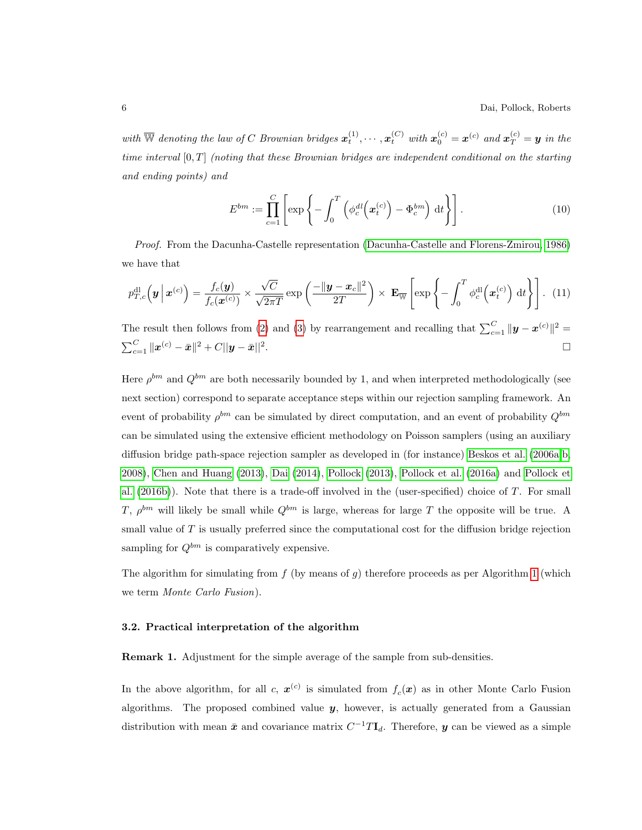6 Dai, Pollock, Roberts

with  $\overline{\mathbb{W}}$  denoting the law of C Brownian bridges  $\mathbf{x}_t^{(1)}, \cdots, \mathbf{x}_t^{(C)}$  with  $\mathbf{x}_0^{(c)} = \mathbf{x}^{(c)}$  and  $\mathbf{x}_T^{(c)} = \mathbf{y}$  in the time interval [0, T] (noting that these Brownian bridges are independent conditional on the starting and ending points) and

$$
E^{bm} := \prod_{c=1}^{C} \left[ \exp\left\{-\int_0^T \left(\phi_c^{dl}\left(\boldsymbol{x}_t^{(c)}\right) - \Phi_c^{bm}\right) \, \mathrm{d}t\right\} \right]. \tag{10}
$$

Proof. From the Dacunha-Castelle representation [\(Dacunha-Castelle and Florens-Zmirou, 1986\)](#page-20-7) we have that

$$
p_{T,c}^{\rm dl}\left(\boldsymbol{y}\,\bigg|\,\boldsymbol{x}^{(c)}\right) = \frac{f_c(\boldsymbol{y})}{f_c(\boldsymbol{x}^{(c)})} \times \frac{\sqrt{C}}{\sqrt{2\pi T}} \exp\left(\frac{-\|\boldsymbol{y} - \boldsymbol{x}_c\|^2}{2T}\right) \times \mathbf{E}_{\overline{\mathbb{W}}}\left[\exp\left\{-\int_0^T \phi_c^{\rm dl}\left(\boldsymbol{x}_t^{(c)}\right) \mathrm{d}t\right\}\right].
$$
 (11)

The result then follows from [\(2\)](#page-3-3) and [\(3\)](#page-3-4) by rearrangement and recalling that  $\sum_{c=1}^{C} ||\mathbf{y} - \mathbf{x}^{(c)}||^2 =$  $\sum_{c=1}^{C} \|{\bm{x}}^{(c)} - \bar{{\bm{x}}} \|^2 + C||{\bm{y}} - \bar{{\bm{x}}}||^2$ . В последните поставите на селото на селото на селото на селото на селото на селото на селото на селото на се<br>Селото на селото на селото на селото на селото на селото на селото на селото на селото на селото на селото на

Here  $\rho^{bm}$  and  $Q^{bm}$  are both necessarily bounded by 1, and when interpreted methodologically (see next section) correspond to separate acceptance steps within our rejection sampling framework. An event of probability  $\rho^{bm}$  can be simulated by direct computation, and an event of probability  $Q^{bm}$ can be simulated using the extensive efficient methodology on Poisson samplers (using an auxiliary diffusion bridge path-space rejection sampler as developed in (for instance) [Beskos et al.](#page-20-8) [\(2006a,](#page-20-8)[b,](#page-20-9) [2008\)](#page-20-10), [Chen and Huang](#page-20-11) [\(2013\)](#page-20-11), [Dai](#page-20-12) [\(2014\)](#page-20-12), [Pollock](#page-21-8) [\(2013\)](#page-21-8), [Pollock et al.](#page-21-9) [\(2016a\)](#page-21-9) and [Pollock et](#page-21-10) [al.](#page-21-10) [\(2016b\)](#page-21-10)). Note that there is a trade-off involved in the (user-specified) choice of T. For small T,  $\rho^{bm}$  will likely be small while  $Q^{bm}$  is large, whereas for large T the opposite will be true. A small value of  $T$  is usually preferred since the computational cost for the diffusion bridge rejection sampling for  $Q^{bm}$  is comparatively expensive.

The algorithm for simulating from  $f$  (by means of q) therefore proceeds as per Algorithm [1](#page-6-0) (which we term Monte Carlo Fusion).

### 3.2. Practical interpretation of the algorithm

Remark 1. Adjustment for the simple average of the sample from sub-densities.

In the above algorithm, for all c,  $x^{(c)}$  is simulated from  $f_c(x)$  as in other Monte Carlo Fusion algorithms. The proposed combined value  $y$ , however, is actually generated from a Gaussian distribution with mean  $\bar{x}$  and covariance matrix  $C^{-1}T\mathbf{I}_{d}$ . Therefore,  $y$  can be viewed as a simple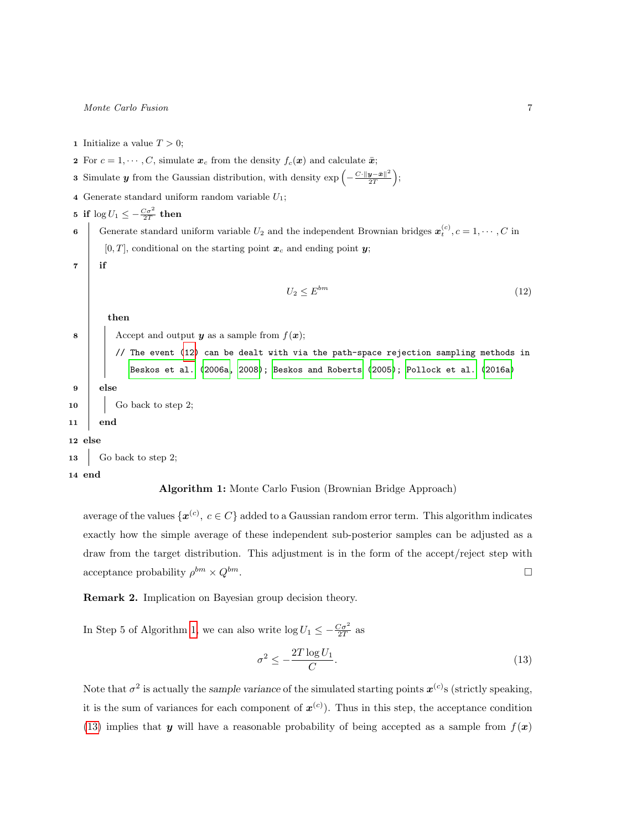- <span id="page-6-0"></span>1 Initialize a value  $T > 0$ ;
- 2 For  $c = 1, \dots, C$ , simulate  $\mathbf{x}_c$  from the density  $f_c(\mathbf{x})$  and calculate  $\bar{\mathbf{x}}$ ;
- 3 Simulate y from the Gaussian distribution, with density  $\exp\left(-\frac{C\cdot\|y-\bar{x}\|^2}{2T}\right)$  $\frac{\bm{y}-\bar{\bm{x}}\|^2}{2T}\Big);$
- 4 Generate standard uniform random variable  $U_1$ ;

```
5 if \log U_1 \leq -\frac{C\sigma^2}{2T} then
```
6 Generate standard uniform variable  $U_2$  and the independent Brownian bridges  $\boldsymbol{x}_t^{(c)}$ ,  $c = 1, \dots, C$  in  $[0, T]$ , conditional on the starting point  $x_c$  and ending point y;

 $7$  if

<span id="page-6-1"></span>
$$
U_2 \le E^{bm} \tag{12}
$$

then

8 | Accept and output y as a sample from  $f(\boldsymbol{x})$ ;

// The event [\(12\)](#page-6-1) can be dealt with via the path-space rejection sampling methods in [Beskos et al.](#page-20-8) [\(2006a,](#page-20-8) [2008\)](#page-20-10); [Beskos and Roberts](#page-20-13) [\(2005\)](#page-20-13); [Pollock et al.](#page-21-9) [\(2016a\)](#page-21-9) 9 else  $\begin{array}{|c|c|c|c|c|c|c|c|c|} \hline \end{array}$  Go back to step 2; 11 end 12 else 13 Go back to step 2;

14 end

## Algorithm 1: Monte Carlo Fusion (Brownian Bridge Approach)

average of the values  $\{\boldsymbol{x}^{(c)}, c \in C\}$  added to a Gaussian random error term. This algorithm indicates exactly how the simple average of these independent sub-posterior samples can be adjusted as a draw from the target distribution. This adjustment is in the form of the accept/reject step with acceptance probability  $\rho^{bm} \times Q^{bm}$ .

<span id="page-6-3"></span>Remark 2. Implication on Bayesian group decision theory.

In Step 5 of Algorithm [1,](#page-6-0) we can also write  $\log U_1 \le -\frac{C\sigma^2}{2T}$  as

<span id="page-6-2"></span>
$$
\sigma^2 \le -\frac{2T \log U_1}{C}.\tag{13}
$$

Note that  $\sigma^2$  is actually the sample variance of the simulated starting points  $x^{(c)}$ s (strictly speaking, it is the sum of variances for each component of  $x^{(c)}$ ). Thus in this step, the acceptance condition [\(13\)](#page-6-2) implies that y will have a reasonable probability of being accepted as a sample from  $f(x)$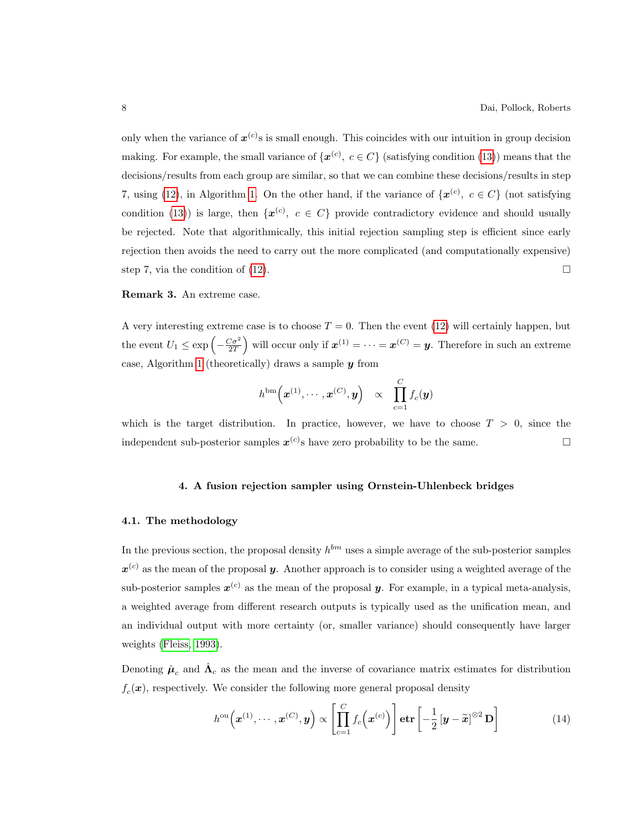only when the variance of  $x^{(c)}$ s is small enough. This coincides with our intuition in group decision making. For example, the small variance of  $\{x^{(c)}, c \in C\}$  (satisfying condition [\(13\)](#page-6-2)) means that the decisions/results from each group are similar, so that we can combine these decisions/results in step 7, using [\(12\)](#page-6-1), in Algorithm [1.](#page-6-0) On the other hand, if the variance of  $\{\boldsymbol{x}^{(c)}, c \in C\}$  (not satisfying condition [\(13\)](#page-6-2)) is large, then  $\{\boldsymbol{x}^{(c)}, c \in C\}$  provide contradictory evidence and should usually be rejected. Note that algorithmically, this initial rejection sampling step is efficient since early rejection then avoids the need to carry out the more complicated (and computationally expensive) step 7, via the condition of [\(12\)](#page-6-1).  $\Box$ 

### Remark 3. An extreme case.

A very interesting extreme case is to choose  $T = 0$ . Then the event [\(12\)](#page-6-1) will certainly happen, but the event  $U_1 \leq \exp\left(-\frac{C\sigma^2}{2T}\right)$  will occur only if  $x^{(1)} = \cdots = x^{(C)} = y$ . Therefore in such an extreme case, Algorithm [1](#page-6-0) (theoretically) draws a sample  $y$  from

$$
h^{\text{bm}}\left(\boldsymbol{x}^{(1)},\cdots,\boldsymbol{x}^{(C)},\boldsymbol{y}\right) \quad \propto \quad \prod_{c=1}^C f_c(\boldsymbol{y})
$$

<span id="page-7-0"></span>which is the target distribution. In practice, however, we have to choose  $T > 0$ , since the independent sub-posterior samples  $x^{(c)}$ s have zero probability to be the same.

### 4. A fusion rejection sampler using Ornstein-Uhlenbeck bridges

#### 4.1. The methodology

In the previous section, the proposal density  $h^{bm}$  uses a simple average of the sub-posterior samples  $\mathbf{x}^{(c)}$  as the mean of the proposal  $\mathbf{y}$ . Another approach is to consider using a weighted average of the sub-posterior samples  $x^{(c)}$  as the mean of the proposal  $y$ . For example, in a typical meta-analysis, a weighted average from different research outputs is typically used as the unification mean, and an individual output with more certainty (or, smaller variance) should consequently have larger weights [\(Fleiss, 1993\)](#page-20-3).

Denoting  $\hat{\mu}_c$  and  $\hat{\Lambda}_c$  as the mean and the inverse of covariance matrix estimates for distribution  $f_c(\mathbf{x})$ , respectively. We consider the following more general proposal density

$$
h^{\text{ou}}\left(\boldsymbol{x}^{(1)},\cdots,\boldsymbol{x}^{(C)},\boldsymbol{y}\right) \propto \left[\prod_{c=1}^{C} f_c\left(\boldsymbol{x}^{(c)}\right)\right] \text{etr}\left[-\frac{1}{2}\left[\boldsymbol{y}-\widetilde{\boldsymbol{x}}\right]^{\otimes 2} \mathbf{D}\right]
$$
(14)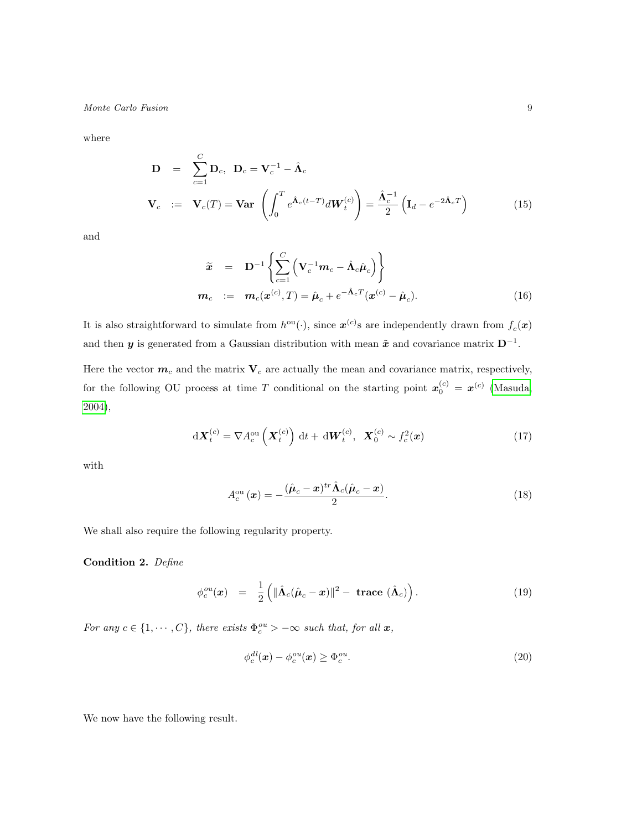where

$$
\mathbf{D} = \sum_{c=1}^{C} \mathbf{D}_c, \quad \mathbf{D}_c = \mathbf{V}_c^{-1} - \hat{\mathbf{\Lambda}}_c
$$
\n
$$
\mathbf{V}_c := \mathbf{V}_c(T) = \mathbf{Var} \left( \int_0^T e^{\hat{\mathbf{\Lambda}}_c(t-T)} d\mathbf{W}_t^{(c)} \right) = \frac{\hat{\mathbf{\Lambda}}_c^{-1}}{2} \left( \mathbf{I}_d - e^{-2\hat{\mathbf{\Lambda}}_c T} \right) \tag{15}
$$

and

<span id="page-8-5"></span>
$$
\widetilde{\mathbf{x}} = \mathbf{D}^{-1} \left\{ \sum_{c=1}^{C} \left( \mathbf{V}_c^{-1} \mathbf{m}_c - \hat{\mathbf{\Lambda}}_c \hat{\boldsymbol{\mu}}_c \right) \right\}
$$
  
\n
$$
\mathbf{m}_c := \mathbf{m}_c(\mathbf{x}^{(c)}, T) = \hat{\boldsymbol{\mu}}_c + e^{-\hat{\mathbf{\Lambda}}_c T} (\mathbf{x}^{(c)} - \hat{\boldsymbol{\mu}}_c). \tag{16}
$$

It is also straightforward to simulate from  $h^{\text{ou}}(\cdot)$ , since  $\mathbf{x}^{(c)}$ s are independently drawn from  $f_c(\mathbf{x})$ and then y is generated from a Gaussian distribution with mean  $\tilde{x}$  and covariance matrix  $D^{-1}$ .

Here the vector  $m_c$  and the matrix  $V_c$  are actually the mean and covariance matrix, respectively, for the following OU process at time T conditional on the starting point  $\mathbf{x}_0^{(c)} = \mathbf{x}^{(c)}$  [\(Masuda,](#page-20-14) [2004\)](#page-20-14),

<span id="page-8-4"></span>
$$
\mathrm{d}\boldsymbol{X}_{t}^{(c)} = \nabla A_{c}^{\mathrm{ou}}\left(\boldsymbol{X}_{t}^{(c)}\right)\mathrm{d}t + \mathrm{d}\boldsymbol{W}_{t}^{(c)}, \ \ \boldsymbol{X}_{0}^{(c)} \sim f_{c}^{2}(\boldsymbol{x})\tag{17}
$$

with

<span id="page-8-0"></span>
$$
A_c^{\text{ou}}(\boldsymbol{x}) = -\frac{(\hat{\boldsymbol{\mu}}_c - \boldsymbol{x})^{tr} \hat{\boldsymbol{\Lambda}}_c (\hat{\boldsymbol{\mu}}_c - \boldsymbol{x})}{2}.
$$
 (18)

We shall also require the following regularity property.

Condition 2. Define

<span id="page-8-2"></span>
$$
\phi_c^{ou}(\boldsymbol{x}) = \frac{1}{2} \left( \|\hat{\boldsymbol{\Lambda}}_c(\hat{\boldsymbol{\mu}}_c - \boldsymbol{x})\|^2 - \text{trace } (\hat{\boldsymbol{\Lambda}}_c) \right).
$$
 (19)

For any  $c \in \{1, \dots, C\}$ , there exists  $\Phi_c^{ou} > -\infty$  such that, for all  $x$ ,

<span id="page-8-3"></span>
$$
\phi_c^{dl}(\mathbf{x}) - \phi_c^{ou}(\mathbf{x}) \ge \Phi_c^{ou}.\tag{20}
$$

<span id="page-8-1"></span>We now have the following result.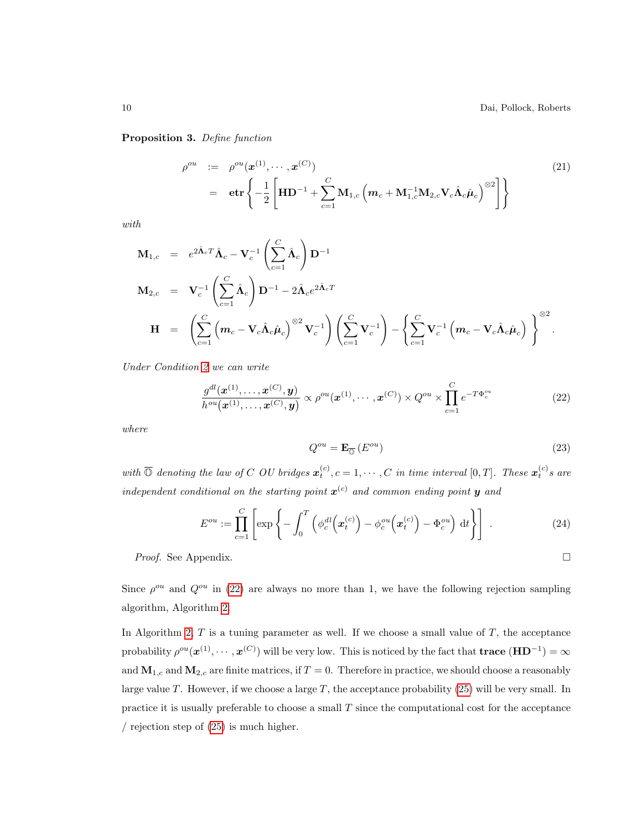Proposition 3. Define function

<span id="page-9-1"></span>
$$
\rho^{ou} := \rho^{ou}(\boldsymbol{x}^{(1)}, \cdots, \boldsymbol{x}^{(C)})
$$
\n
$$
= \boldsymbol{\text{etr}} \left\{ -\frac{1}{2} \left[ \mathbf{H} \mathbf{D}^{-1} + \sum_{c=1}^{C} \mathbf{M}_{1,c} \left( \mathbf{m}_c + \mathbf{M}_{1,c}^{-1} \mathbf{M}_{2,c} \mathbf{V}_c \hat{\mathbf{\Lambda}}_c \hat{\boldsymbol{\mu}}_c \right)^{\otimes 2} \right] \right\}
$$
\n(21)

with

$$
\mathbf{M}_{1,c} = e^{2\hat{\mathbf{\Lambda}}_c T} \hat{\mathbf{\Lambda}}_c - \mathbf{V}_c^{-1} \left( \sum_{c=1}^C \hat{\mathbf{\Lambda}}_c \right) \mathbf{D}^{-1}
$$
\n
$$
\mathbf{M}_{2,c} = \mathbf{V}_c^{-1} \left( \sum_{c=1}^C \hat{\mathbf{\Lambda}}_c \right) \mathbf{D}^{-1} - 2\hat{\mathbf{\Lambda}}_c e^{2\hat{\mathbf{\Lambda}}_c T}
$$
\n
$$
\mathbf{H} = \left( \sum_{c=1}^C \left( m_c - \mathbf{V}_c \hat{\mathbf{\Lambda}}_c \hat{\boldsymbol{\mu}}_c \right)^{\otimes 2} \mathbf{V}_c^{-1} \right) \left( \sum_{c=1}^C \mathbf{V}_c^{-1} \right) - \left\{ \sum_{c=1}^C \mathbf{V}_c^{-1} \left( m_c - \mathbf{V}_c \hat{\mathbf{\Lambda}}_c \hat{\boldsymbol{\mu}}_c \right) \right\}^{\otimes 2}.
$$

Under Condition [2](#page-8-0) we can write

<span id="page-9-0"></span>
$$
\frac{g^{dl}(\boldsymbol{x}^{(1)},\ldots,\boldsymbol{x}^{(C)},\boldsymbol{y})}{h^{ou}(\boldsymbol{x}^{(1)},\ldots,\boldsymbol{x}^{(C)},\boldsymbol{y})} \propto \rho^{ou}(\boldsymbol{x}^{(1)},\ldots,\boldsymbol{x}^{(C)}) \times Q^{ou} \times \prod_{c=1}^{C} e^{-T\Phi_c^{ou}}
$$
(22)

where

$$
Q^{ou} = \mathbf{E}_{\overline{\mathbb{Q}}}\left(E^{ou}\right) \tag{23}
$$

with  $\overline{\mathbb{O}}$  denoting the law of C OU bridges  $\mathbf{x}_t^{(c)}$ ,  $c = 1, \cdots, C$  in time interval  $[0, T]$ . These  $\mathbf{x}_t^{(c)}$ s are independent conditional on the starting point  $\boldsymbol{x}^{(c)}$  and common ending point  $\boldsymbol{y}$  and

<span id="page-9-2"></span>
$$
E^{ou} := \prod_{c=1}^{C} \left[ \exp \left\{ -\int_0^T \left( \phi_c^{dl} \left( \boldsymbol{x}_t^{(c)} \right) - \phi_c^{ou} \left( \boldsymbol{x}_t^{(c)} \right) - \Phi_c^{ou} \right) \, \mathrm{d}t \right\} \right] \,. \tag{24}
$$

*Proof.* See Appendix.  $\square$ 

Since  $\rho^{ou}$  and  $Q^{ou}$  in [\(22\)](#page-9-0) are always no more than 1, we have the following rejection sampling algorithm, Algorithm [2.](#page-10-0)

In Algorithm [2,](#page-10-0)  $T$  is a tuning parameter as well. If we choose a small value of  $T$ , the acceptance probability  $\rho^{ou}(\mathbf{x}^{(1)},\cdots,\mathbf{x}^{(C)})$  will be very low. This is noticed by the fact that **trace**  $(\mathbf{H}\mathbf{D}^{-1})=\infty$ and  $\mathbf{M}_{1,c}$  and  $\mathbf{M}_{2,c}$  are finite matrices, if  $T = 0$ . Therefore in practice, we should choose a reasonably large value  $T$ . However, if we choose a large  $T$ , the acceptance probability [\(25\)](#page-10-1) will be very small. In practice it is usually preferable to choose a small  $T$  since the computational cost for the acceptance / rejection step of [\(25\)](#page-10-1) is much higher.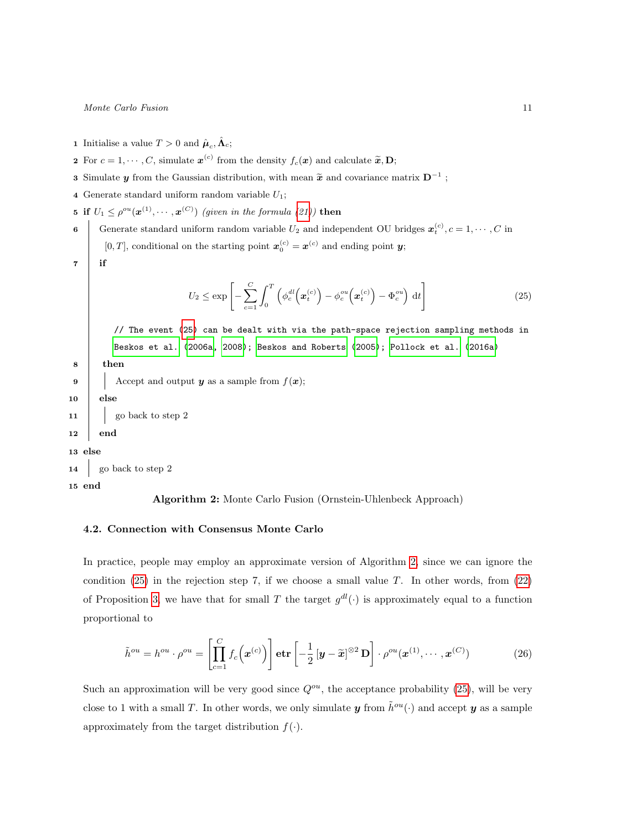- <span id="page-10-0"></span>**1** Initialise a value  $T > 0$  and  $\hat{\boldsymbol{\mu}}_c, \hat{\boldsymbol{\Lambda}}_c$ ;
- 2 For  $c = 1, \dots, C$ , simulate  $\mathbf{x}^{(c)}$  from the density  $f_c(\mathbf{x})$  and calculate  $\widetilde{\mathbf{x}}, \mathbf{D}$ ;
- **3** Simulate  $y$  from the Gaussian distribution, with mean  $\tilde{x}$  and covariance matrix  $D^{-1}$ ;
- 4 Generate standard uniform random variable  $U_1$ ;
- 5 if  $U_1 \leq \rho^{ou}(\boldsymbol{x}^{(1)}, \cdots, \boldsymbol{x}^{(C)})$  (given in the formula [\(21\)](#page-9-1)) then

6 Generate standard uniform random variable  $U_2$  and independent OU bridges  $\boldsymbol{x}_t^{(c)}$ ,  $c = 1, \cdots, C$  in [0, T], conditional on the starting point  $\mathbf{x}_0^{(c)} = \mathbf{x}^{(c)}$  and ending point y;

 $7$  if

<span id="page-10-1"></span>
$$
U_2 \le \exp\left[-\sum_{c=1}^C \int_0^T \left(\phi_c^{dl}\left(\boldsymbol{x}_t^{(c)}\right) - \phi_c^{ou}\left(\boldsymbol{x}_t^{(c)}\right) - \Phi_c^{ou}\right) \, \mathrm{d}t\right] \tag{25}
$$

// The event [\(25\)](#page-10-1) can be dealt with via the path-space rejection sampling methods in [Beskos et al.](#page-20-8) [\(2006a,](#page-20-8) [2008\)](#page-20-10); [Beskos and Roberts](#page-20-13) [\(2005\)](#page-20-13); [Pollock et al.](#page-21-9) [\(2016a\)](#page-21-9)

```
8 then
```

```
9 Accept and output y as a sample from f(\boldsymbol{x});
```

```
10 else
```
11 go back to step 2

### 12 end

13 else

```
14 go back to step 2
```
15 end

Algorithm 2: Monte Carlo Fusion (Ornstein-Uhlenbeck Approach)

### 4.2. Connection with Consensus Monte Carlo

In practice, people may employ an approximate version of Algorithm [2,](#page-10-0) since we can ignore the condition  $(25)$  in the rejection step 7, if we choose a small value T. In other words, from  $(22)$ of Proposition [3,](#page-8-1) we have that for small T the target  $g^{dl}(\cdot)$  is approximately equal to a function proportional to

$$
\tilde{h}^{ou} = h^{ou} \cdot \rho^{ou} = \left[ \prod_{c=1}^{C} f_c(\boldsymbol{x}^{(c)}) \right] \mathbf{etr} \left[ -\frac{1}{2} \left[ \boldsymbol{y} - \tilde{\boldsymbol{x}} \right]^{\otimes 2} \mathbf{D} \right] \cdot \rho^{ou}(\boldsymbol{x}^{(1)}, \cdots, \boldsymbol{x}^{(C)}) \tag{26}
$$

Such an approximation will be very good since  $Q^{ou}$ , the acceptance probability [\(25\)](#page-10-1), will be very close to 1 with a small T. In other words, we only simulate y from  $\tilde{h}^{ou}(\cdot)$  and accept y as a sample approximately from the target distribution  $f(\cdot)$ .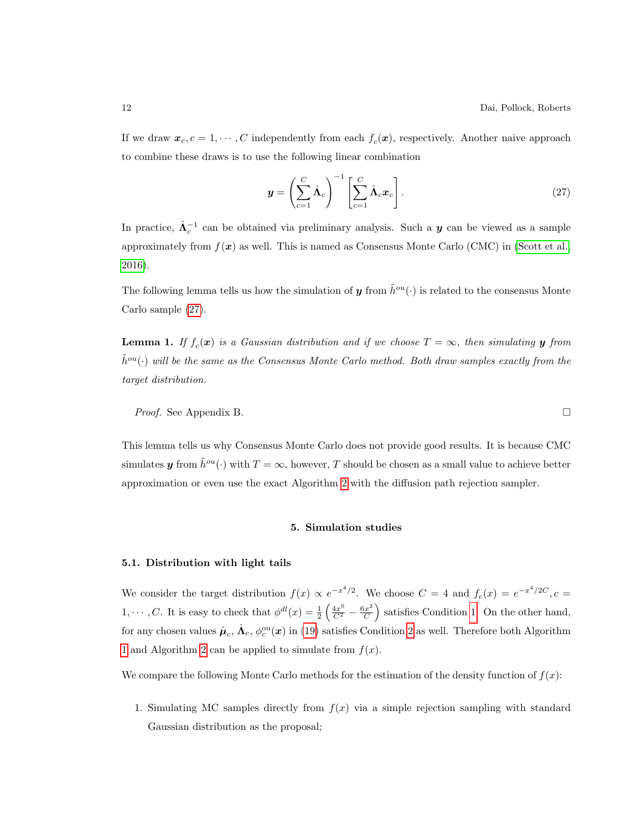If we draw  $\mathbf{x}_c, c = 1, \cdots, C$  independently from each  $f_c(\mathbf{x})$ , respectively. Another naive approach to combine these draws is to use the following linear combination

<span id="page-11-1"></span>
$$
\mathbf{y} = \left(\sum_{c=1}^{C} \hat{\mathbf{\Lambda}}_c\right)^{-1} \left[\sum_{c=1}^{C} \hat{\mathbf{\Lambda}}_c \mathbf{x}_c\right].
$$
 (27)

In practice,  $\hat{\Lambda}_c^{-1}$  can be obtained via preliminary analysis. Such a  $y$  can be viewed as a sample approximately from  $f(x)$  as well. This is named as Consensus Monte Carlo (CMC) in [\(Scott et al.,](#page-21-3) [2016\)](#page-21-3).

The following lemma tells us how the simulation of y from  $\tilde{h}^{ou}(\cdot)$  is related to the consensus Monte Carlo sample [\(27\)](#page-11-1).

<span id="page-11-2"></span>**Lemma 1.** If  $f_c(\mathbf{x})$  is a Gaussian distribution and if we choose  $T = \infty$ , then simulating **y** from  $\tilde{h}^{ou}(\cdot)$  will be the same as the Consensus Monte Carlo method. Both draw samples exactly from the target distribution.

Proof. See Appendix B.

This lemma tells us why Consensus Monte Carlo does not provide good results. It is because CMC simulates y from  $\tilde{h}^{ou}(\cdot)$  with  $T = \infty$ , however, T should be chosen as a small value to achieve better approximation or even use the exact Algorithm [2](#page-10-0) with the diffusion path rejection sampler.

### 5. Simulation studies

### <span id="page-11-0"></span>5.1. Distribution with light tails

We consider the target distribution  $f(x) \propto e^{-x^4/2}$ . We choose  $C = 4$  and  $f_c(x) = e^{-x^4/2C}$ ,  $c =$ 1,  $\dots$ , C. It is easy to check that  $\phi^{dl}(x) = \frac{1}{2} \left( \frac{4x^6}{C^2} - \frac{6x^2}{C} \right)$  $\left(\frac{cx^2}{C}\right)$  satisfies Condition [1.](#page-4-1) On the other hand, for any chosen values  $\hat{\mu}_c$ ,  $\hat{\Lambda}_c$ ,  $\phi_c^{\text{ou}}(x)$  in [\(19\)](#page-8-2) satisfies Condition [2](#page-8-3) as well. Therefore both Algorithm [1](#page-6-0) and Algorithm [2](#page-10-0) can be applied to simulate from  $f(x)$ .

We compare the following Monte Carlo methods for the estimation of the density function of  $f(x)$ :

1. Simulating MC samples directly from  $f(x)$  via a simple rejection sampling with standard Gaussian distribution as the proposal;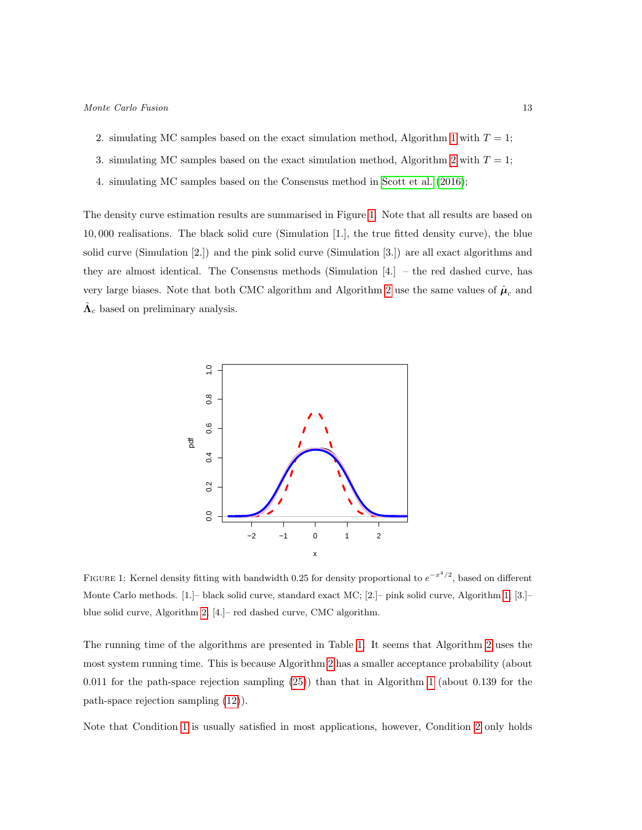- 2. simulating MC samples based on the exact simulation method, Algorithm [1](#page-6-0) with  $T = 1$ ;
- 3. simulating MC samples based on the exact simulation method, Algorithm [2](#page-10-0) with  $T = 1$ ;
- 4. simulating MC samples based on the Consensus method in [Scott et al.](#page-21-3) [\(2016\)](#page-21-3);

The density curve estimation results are summarised in Figure [1.](#page-12-0) Note that all results are based on 10, 000 realisations. The black solid cure (Simulation [1.], the true fitted density curve), the blue solid curve (Simulation [2.]) and the pink solid curve (Simulation [3.]) are all exact algorithms and they are almost identical. The Consensus methods (Simulation [4.] – the red dashed curve, has very large biases. Note that both CMC algorithm and Algorithm [2](#page-10-0) use the same values of  $\hat{\boldsymbol{\mu}}_c$  and  $\hat{\Lambda}_c$  based on preliminary analysis.



<span id="page-12-0"></span>FIGURE 1: Kernel density fitting with bandwidth 0.25 for density proportional to  $e^{-x^4/2}$ , based on different Monte Carlo methods. [1.]– black solid curve, standard exact MC; [2.]– pink solid curve, Algorithm [1;](#page-6-0) [3.]– blue solid curve, Algorithm [2;](#page-10-0) [4.]– red dashed curve, CMC algorithm.

The running time of the algorithms are presented in Table [1.](#page-13-0) It seems that Algorithm [2](#page-10-0) uses the most system running time. This is because Algorithm [2](#page-10-0) has a smaller acceptance probability (about 0.011 for the path-space rejection sampling [\(25\)](#page-10-1)) than that in Algorithm [1](#page-6-0) (about 0.139 for the path-space rejection sampling [\(12\)](#page-6-1)).

Note that Condition [1](#page-4-1) is usually satisfied in most applications, however, Condition [2](#page-8-3) only holds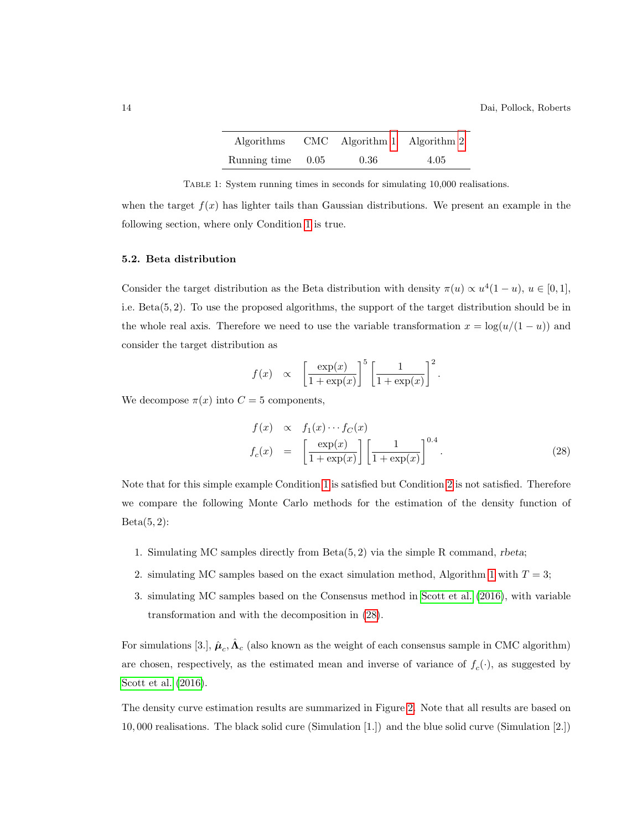<span id="page-13-0"></span>

| Algorithms   |      | $CMC$ Algorithm 1 Algorithm 2 |      |
|--------------|------|-------------------------------|------|
| Running time | 0.05 | 0.36                          | 4.05 |

Table 1: System running times in seconds for simulating 10,000 realisations.

when the target  $f(x)$  has lighter tails than Gaussian distributions. We present an example in the following section, where only Condition [1](#page-4-1) is true.

### 5.2. Beta distribution

Consider the target distribution as the Beta distribution with density  $\pi(u) \propto u^4(1-u)$ ,  $u \in [0,1]$ , i.e. Beta(5, 2). To use the proposed algorithms, the support of the target distribution should be in the whole real axis. Therefore we need to use the variable transformation  $x = \log(u/(1-u))$  and consider the target distribution as

$$
f(x) \propto \left[\frac{\exp(x)}{1+\exp(x)}\right]^5 \left[\frac{1}{1+\exp(x)}\right]^2.
$$

We decompose  $\pi(x)$  into  $C = 5$  components,

<span id="page-13-1"></span>
$$
f(x) \propto f_1(x) \cdots f_C(x)
$$
  
\n
$$
f_c(x) = \left[ \frac{\exp(x)}{1 + \exp(x)} \right] \left[ \frac{1}{1 + \exp(x)} \right]^{0.4}.
$$
 (28)

Note that for this simple example Condition [1](#page-4-1) is satisfied but Condition [2](#page-8-3) is not satisfied. Therefore we compare the following Monte Carlo methods for the estimation of the density function of  $Beta(5, 2)$ :

- 1. Simulating MC samples directly from Beta(5, 2) via the simple R command, rbeta;
- 2. simulating MC samples based on the exact simulation method, Algorithm [1](#page-6-0) with  $T = 3$ ;
- 3. simulating MC samples based on the Consensus method in [Scott et al.](#page-21-3) [\(2016\)](#page-21-3), with variable transformation and with the decomposition in [\(28\)](#page-13-1).

For simulations [3.],  $\hat{\boldsymbol{\mu}}_c$ ,  $\hat{\boldsymbol{\Lambda}}_c$  (also known as the weight of each consensus sample in CMC algorithm) are chosen, respectively, as the estimated mean and inverse of variance of  $f_c(\cdot)$ , as suggested by [Scott et al.](#page-21-3) [\(2016\)](#page-21-3).

The density curve estimation results are summarized in Figure [2.](#page-14-0) Note that all results are based on 10, 000 realisations. The black solid cure (Simulation [1.]) and the blue solid curve (Simulation [2.])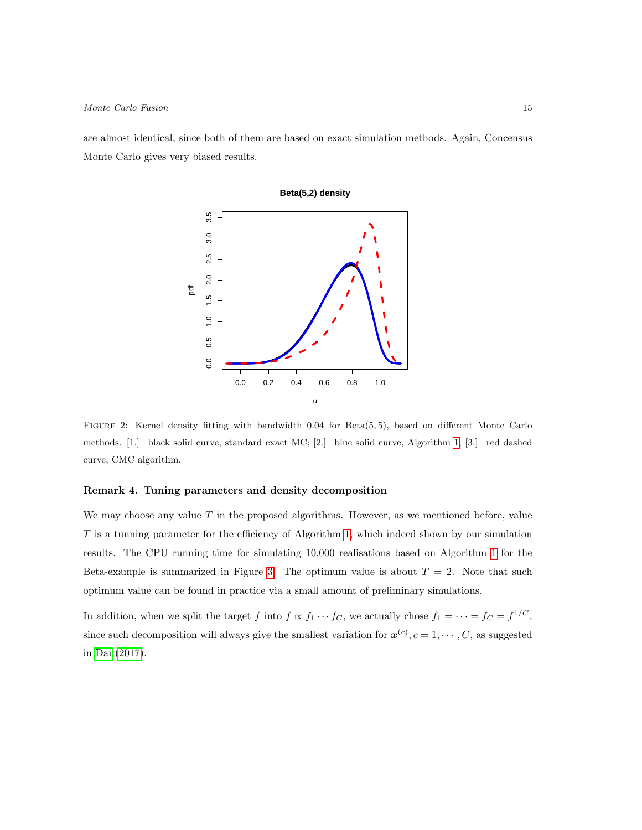are almost identical, since both of them are based on exact simulation methods. Again, Concensus Monte Carlo gives very biased results.



<span id="page-14-0"></span>FIGURE 2: Kernel density fitting with bandwidth 0.04 for Beta(5,5), based on different Monte Carlo methods. [1.]– black solid curve, standard exact MC; [2.]– blue solid curve, Algorithm [1;](#page-6-0) [3.]– red dashed curve, CMC algorithm.

### Remark 4. Tuning parameters and density decomposition

We may choose any value  $T$  in the proposed algorithms. However, as we mentioned before, value T is a tunning parameter for the efficiency of Algorithm [1,](#page-6-0) which indeed shown by our simulation results. The CPU running time for simulating 10,000 realisations based on Algorithm [1](#page-6-0) for the Beta-example is summarized in Figure [3.](#page-15-1) The optimum value is about  $T = 2$ . Note that such optimum value can be found in practice via a small amount of preliminary simulations.

In addition, when we split the target f into  $f \propto f_1 \cdots f_C$ , we actually chose  $f_1 = \cdots = f_C = f^{1/C}$ , since such decomposition will always give the smallest variation for  $x^{(c)}$ ,  $c = 1, \dots, C$ , as suggested in [Dai](#page-20-15) [\(2017\)](#page-20-15).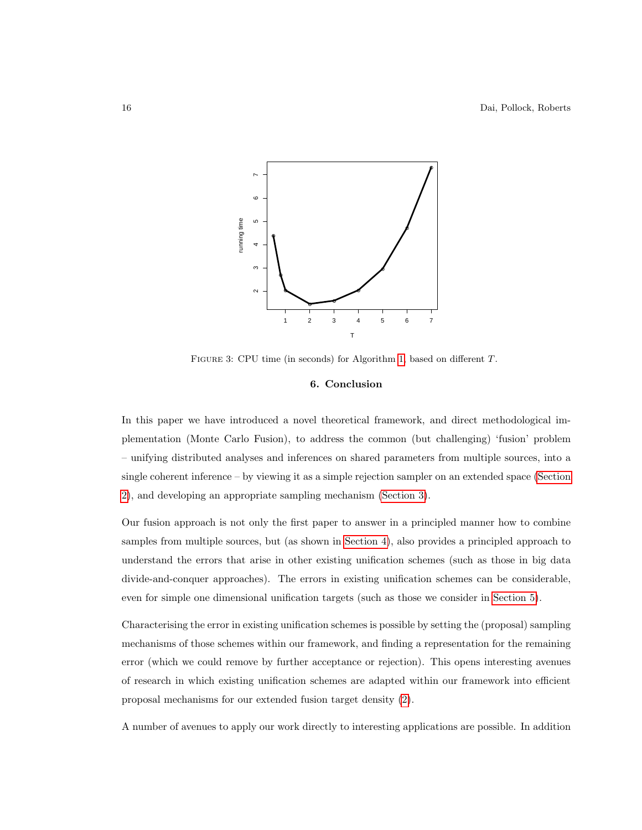

<span id="page-15-1"></span>FIGURE 3: CPU time (in seconds) for Algorithm [1,](#page-6-0) based on different T.

### 6. Conclusion

<span id="page-15-0"></span>In this paper we have introduced a novel theoretical framework, and direct methodological implementation (Monte Carlo Fusion), to address the common (but challenging) 'fusion' problem – unifying distributed analyses and inferences on shared parameters from multiple sources, into a single coherent inference – by viewing it as a simple rejection sampler on an extended space [\(Section](#page-3-0) [2\)](#page-3-0), and developing an appropriate sampling mechanism [\(Section 3\)](#page-3-1).

Our fusion approach is not only the first paper to answer in a principled manner how to combine samples from multiple sources, but (as shown in [Section 4\)](#page-7-0), also provides a principled approach to understand the errors that arise in other existing unification schemes (such as those in big data divide-and-conquer approaches). The errors in existing unification schemes can be considerable, even for simple one dimensional unification targets (such as those we consider in [Section 5\)](#page-11-0).

Characterising the error in existing unification schemes is possible by setting the (proposal) sampling mechanisms of those schemes within our framework, and finding a representation for the remaining error (which we could remove by further acceptance or rejection). This opens interesting avenues of research in which existing unification schemes are adapted within our framework into efficient proposal mechanisms for our extended fusion target density [\(2\)](#page-3-3).

A number of avenues to apply our work directly to interesting applications are possible. In addition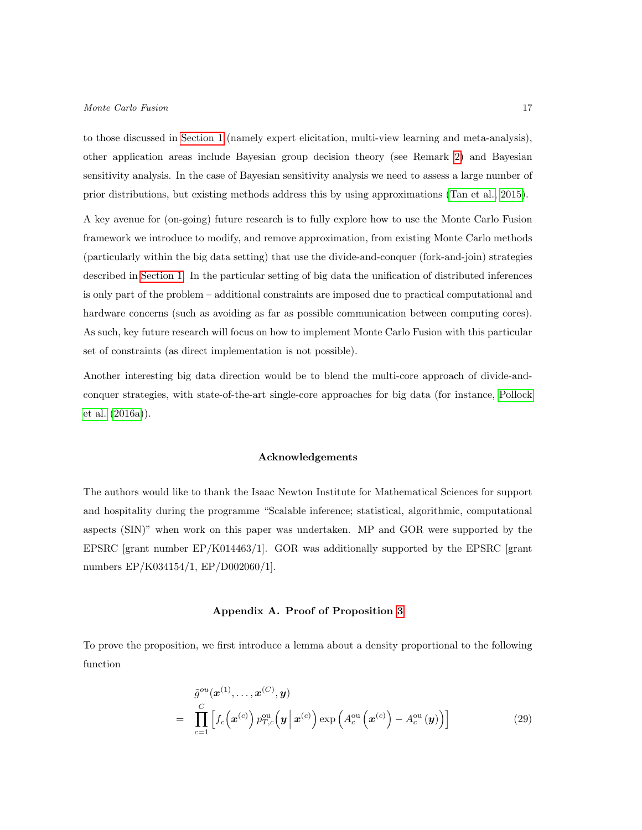to those discussed in [Section 1](#page-1-1) (namely expert elicitation, multi-view learning and meta-analysis), other application areas include Bayesian group decision theory (see Remark [2\)](#page-6-3) and Bayesian sensitivity analysis. In the case of Bayesian sensitivity analysis we need to assess a large number of prior distributions, but existing methods address this by using approximations [\(Tan et al., 2015\)](#page-21-11).

A key avenue for (on-going) future research is to fully explore how to use the Monte Carlo Fusion framework we introduce to modify, and remove approximation, from existing Monte Carlo methods (particularly within the big data setting) that use the divide-and-conquer (fork-and-join) strategies described in [Section 1.](#page-1-1) In the particular setting of big data the unification of distributed inferences is only part of the problem – additional constraints are imposed due to practical computational and hardware concerns (such as avoiding as far as possible communication between computing cores). As such, key future research will focus on how to implement Monte Carlo Fusion with this particular set of constraints (as direct implementation is not possible).

Another interesting big data direction would be to blend the multi-core approach of divide-andconquer strategies, with state-of-the-art single-core approaches for big data (for instance, [Pollock](#page-21-9) [et al.](#page-21-9) [\(2016a\)](#page-21-9)).

### Acknowledgements

The authors would like to thank the Isaac Newton Institute for Mathematical Sciences for support and hospitality during the programme "Scalable inference; statistical, algorithmic, computational aspects (SIN)" when work on this paper was undertaken. MP and GOR were supported by the EPSRC [grant number EP/K014463/1]. GOR was additionally supported by the EPSRC [grant numbers EP/K034154/1, EP/D002060/1].

#### Appendix A. Proof of Proposition [3](#page-8-1)

To prove the proposition, we first introduce a lemma about a density proportional to the following function

<span id="page-16-0"></span>
$$
\tilde{g}^{ou}(\boldsymbol{x}^{(1)},\ldots,\boldsymbol{x}^{(C)},\boldsymbol{y})
$$
\n
$$
= \prod_{c=1}^{C} \left[ f_c(\boldsymbol{x}^{(c)}) p_{T,c}^{ou}(\boldsymbol{y} \,|\, \boldsymbol{x}^{(c)}) \exp\left( A_c^{ou}(\boldsymbol{x}^{(c)}) - A_c^{ou}(\boldsymbol{y}) \right) \right]
$$
\n(29)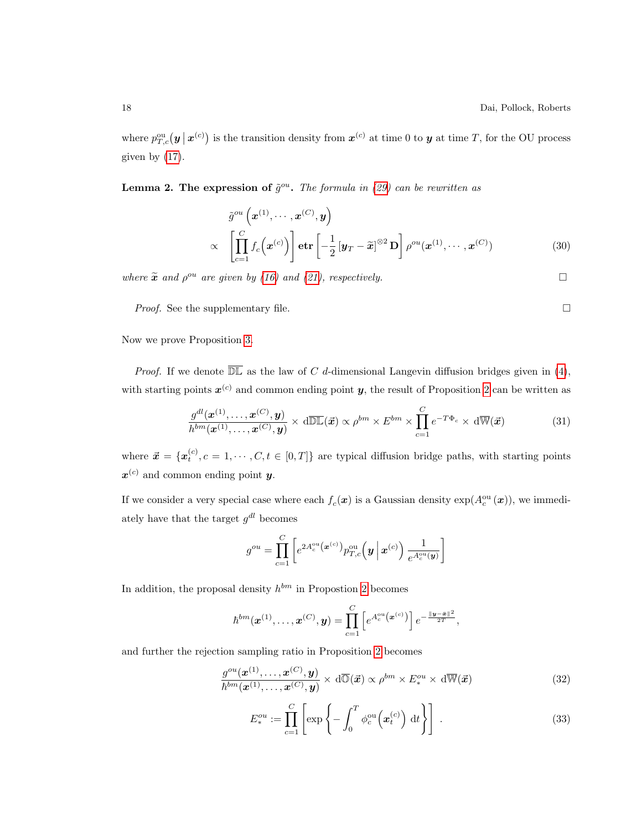where  $p_{T,c}^{\text{ou}}(\bm{y} \,|\, \bm{x}^{(c)})$  is the transition density from  $\bm{x}^{(c)}$  at time 0 to  $\bm{y}$  at time T, for the OU process given by  $(17)$ .

**Lemma 2. The expression of**  $\tilde{g}^{ou}$ . The formula in [\(29\)](#page-16-0) can be rewritten as

<span id="page-17-0"></span>
$$
\tilde{g}^{ou}\left(\boldsymbol{x}^{(1)},\cdots,\boldsymbol{x}^{(C)},\boldsymbol{y}\right) \propto \left[\prod_{c=1}^{C} f_c\left(\boldsymbol{x}^{(c)}\right)\right] \operatorname{etr}\left[-\frac{1}{2}\left[\boldsymbol{y}_T-\widetilde{\boldsymbol{x}}\right]^{\otimes2} \mathbf{D}\right] \rho^{ou}(\boldsymbol{x}^{(1)},\cdots,\boldsymbol{x}^{(C)})
$$
\n(30)

where  $\tilde{\mathbf{x}}$  and  $\rho^{ou}$  are given by [\(16\)](#page-8-5) and [\(21\)](#page-9-1), respectively.

*Proof.* See the supplementary file.  $\Box$ 

Now we prove Proposition [3.](#page-8-1)

*Proof.* If we denote  $\overline{\mathbb{DL}}$  as the law of C d-dimensional Langevin diffusion bridges given in [\(4\)](#page-4-2), with starting points  $x^{(c)}$  and common ending point y, the result of Proposition [2](#page-4-3) can be written as

$$
\frac{g^{dl}(\boldsymbol{x}^{(1)},\ldots,\boldsymbol{x}^{(C)},\boldsymbol{y})}{h^{bm}(\boldsymbol{x}^{(1)},\ldots,\boldsymbol{x}^{(C)},\boldsymbol{y})} \times d\overline{\mathbb{DL}}(\vec{\boldsymbol{x}}) \propto \rho^{bm} \times E^{bm} \times \prod_{c=1}^{C} e^{-T\Phi_c} \times d\overline{\mathbb{W}}(\vec{\boldsymbol{x}})
$$
(31)

where  $\vec{x} = \{x_t^{(c)}, c = 1, \dots, C, t \in [0, T]\}$  are typical diffusion bridge paths, with starting points  $x^{(c)}$  and common ending point y.

If we consider a very special case where each  $f_c(\mathbf{x})$  is a Gaussian density  $\exp(A_c^{\text{ou}}(\mathbf{x}))$ , we immediately have that the target  $g^{dl}$  becomes

$$
g^{ou} = \prod_{c=1}^{C} \left[ e^{2A_c^{ou}(\boldsymbol{x}^{(c)})} p_{T,c}^{ou}(\boldsymbol{y} \,|\, \boldsymbol{x}^{(c)}) \, \frac{1}{e^{A_c^{ou}(\boldsymbol{y})}} \right]
$$

In addition, the proposal density  $h^{bm}$  in Propostion [2](#page-4-3) becomes

$$
\hbar^{bm}(\boldsymbol{x}^{(1)},\ldots,\boldsymbol{x}^{(C)},\boldsymbol{y})=\prod_{c=1}^C\left[e^{A_c^{\text{ou}}(\boldsymbol{x}^{(c)})}\right]e^{-\frac{\|\boldsymbol{y}-\bar{\boldsymbol{x}}\|^2}{2T}},
$$

and further the rejection sampling ratio in Proposition [2](#page-4-3) becomes

$$
\frac{g^{ou}(\boldsymbol{x}^{(1)},\ldots,\boldsymbol{x}^{(C)},\boldsymbol{y})}{\hbar^{bm}(\boldsymbol{x}^{(1)},\ldots,\boldsymbol{x}^{(C)},\boldsymbol{y})} \times d\overline{\mathbb{O}}(\vec{\boldsymbol{x}}) \propto \rho^{bm} \times E^{ou}_{*} \times d\overline{\mathbb{W}}(\vec{\boldsymbol{x}})
$$
\n(32)

$$
E_*^{ou} := \prod_{c=1}^C \left[ \exp\left\{-\int_0^T \phi_c^{ou}\left(\mathbf{x}_t^{(c)}\right) \, \mathrm{d}t\right\} \right] \,. \tag{33}
$$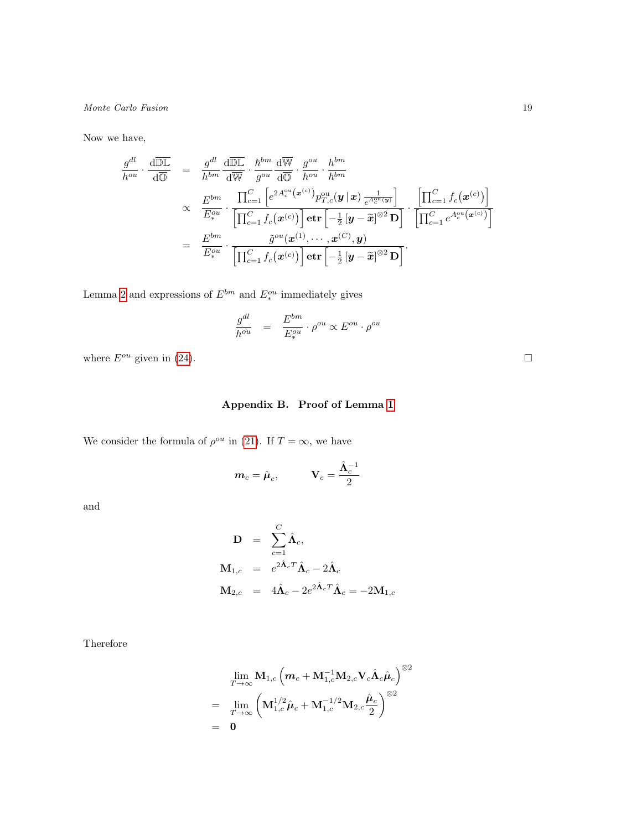Now we have,

$$
\frac{g^{dl}}{h^{ou}} \cdot \frac{d\overline{\mathbb{DL}}}{d\overline{\mathbb{O}}} = \frac{g^{dl}}{h^{bm}} \frac{d\overline{\mathbb{DL}}}{d\overline{\mathbb{W}}} \cdot \frac{h^{bm}}{g^{ou}} \frac{d\overline{\mathbb{W}}}{d\overline{\mathbb{O}}} \cdot \frac{g^{ou}}{h^{ou}} \cdot \frac{h^{bm}}{h^{bm}}}{h^{bm}} \propto \frac{E^{bm}}{E_*^{ou}} \cdot \frac{\prod_{c=1}^C \left[e^{2A_c^{ou}(\mathbf{x}^{(c)})} p_{T,c}^{ou}(\mathbf{y}|\mathbf{x}) \frac{1}{e^{A_c^{ou}(\mathbf{y})}}\right]}{\left[\prod_{c=1}^C f_c(\mathbf{x}^{(c)})\right] \cdot \text{etr}\left[-\frac{1}{2} [\mathbf{y} - \widetilde{\mathbf{x}}]^{\otimes 2} \mathbf{D}\right]} \cdot \frac{\left[\prod_{c=1}^C f_c(\mathbf{x}^{(c)})\right]}{\left[\prod_{c=1}^C e^{A_c^{ou}(\mathbf{x}^{(c)})}\right]} \n= \frac{E^{bm}}{E_*^{ou}} \cdot \frac{\widetilde{g}^{ou}(\mathbf{x}^{(1)}, \dots, \mathbf{x}^{(C)}, \mathbf{y})}{\left[\prod_{c=1}^C f_c(\mathbf{x}^{(c)})\right] \cdot \text{etr}\left[-\frac{1}{2} [\mathbf{y} - \widetilde{\mathbf{x}}]^{\otimes 2} \mathbf{D}\right]}.
$$

Lemma [2](#page-17-0) and expressions of  $E^{bm}$  and  $E^{ou}_*$  immediately gives

$$
\frac{g^{dl}}{h^{ou}} \quad = \quad \frac{E^{bm}}{E^{ou}_*} \cdot \rho^{ou} \propto E^{ou} \cdot \rho^{ou}
$$

where  $E^{ou}$  given in [\(24\)](#page-9-2).

# Appendix B. Proof of Lemma [1](#page-11-2)

We consider the formula of  $\rho^{ou}$  in [\(21\)](#page-9-1). If  $T = \infty$ , we have

$$
\boldsymbol{m}_c = \hat{\boldsymbol{\mu}}_c, \qquad \quad \mathbf{V}_c = \frac{\hat{\boldsymbol{\Lambda}}_c^{-1}}{2}
$$

and

$$
\mathbf{D} = \sum_{c=1}^{C} \hat{\mathbf{\Lambda}}_c,
$$
  
\n
$$
\mathbf{M}_{1,c} = e^{2\hat{\mathbf{\Lambda}}_c T} \hat{\mathbf{\Lambda}}_c - 2\hat{\mathbf{\Lambda}}_c
$$
  
\n
$$
\mathbf{M}_{2,c} = 4\hat{\mathbf{\Lambda}}_c - 2e^{2\hat{\mathbf{\Lambda}}_c T} \hat{\mathbf{\Lambda}}_c = -2\mathbf{M}_{1,c}
$$

Therefore

$$
\begin{array}{c} \lim\limits_{T\rightarrow\infty}\mathbf{M}_{1,c}\left(\bm{m}_c+\mathbf{M}_{1,c}^{-1}\mathbf{M}_{2,c}\mathbf{V}_c\hat{\mathbf{\Lambda}}_c\hat{\boldsymbol{\mu}}_c\right)^{\otimes2} \\ =\hspace{2mm}\lim\limits_{T\rightarrow\infty}\left(\mathbf{M}_{1,c}^{1/2}\hat{\boldsymbol{\mu}}_c+\mathbf{M}_{1,c}^{-1/2}\mathbf{M}_{2,c}\frac{\hat{\boldsymbol{\mu}}_c}{2}\right)^{\otimes2} \\ =\hspace{2mm} \mathbf{0}\end{array}
$$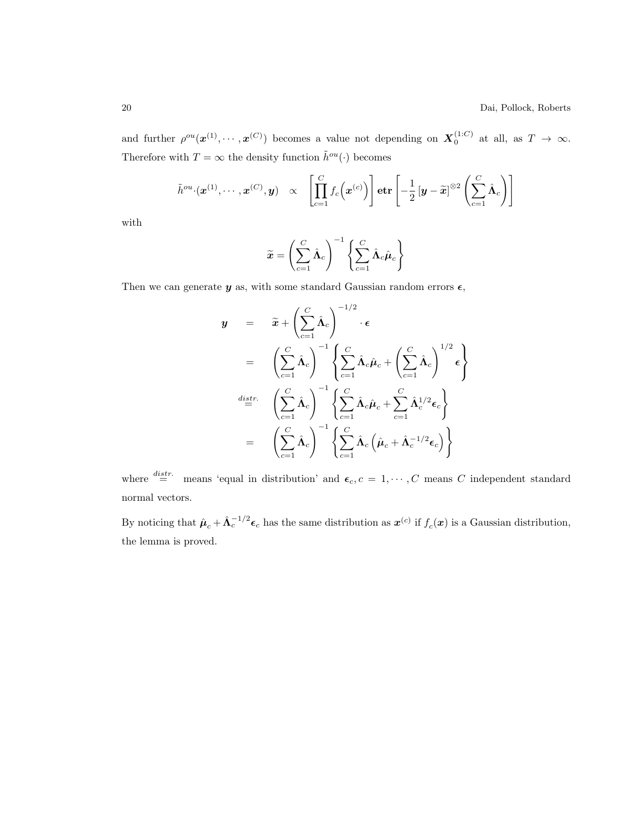and further  $\rho^{ou}(\mathbf{x}^{(1)},\cdots,\mathbf{x}^{(C)})$  becomes a value not depending on  $\mathbf{X}_0^{(1:C)}$  at all, as  $T \to \infty$ . Therefore with  $T = \infty$  the density function  $\tilde{h}^{ou}(\cdot)$  becomes

$$
\tilde{h}^{ou} \cdot (\boldsymbol{x}^{(1)}, \cdots, \boldsymbol{x}^{(C)}, \boldsymbol{y}) \quad \propto \quad \left[ \prod_{c=1}^{C} f_c \left( \boldsymbol{x}^{(c)} \right) \right] \mathbf{etr} \left[ -\frac{1}{2} \left[ \boldsymbol{y} - \widetilde{\boldsymbol{x}} \right] ^{\otimes 2} \left( \sum_{c=1}^{C} \hat{\boldsymbol{\Lambda}}_c \right) \right]
$$

with

$$
\widetilde{\mathbf{x}} = \left(\sum_{c=1}^{C} \hat{\mathbf{\Lambda}}_c\right)^{-1} \left\{\sum_{c=1}^{C} \hat{\mathbf{\Lambda}}_c \hat{\boldsymbol{\mu}}_c\right\}
$$

Then we can generate  $\boldsymbol{y}$  as, with some standard Gaussian random errors  $\boldsymbol{\epsilon},$ 

$$
\mathbf{y} = \tilde{\mathbf{x}} + \left(\sum_{c=1}^{C} \hat{\mathbf{\Lambda}}_c\right)^{-1/2} \cdot \boldsymbol{\epsilon}
$$
\n
$$
= \left(\sum_{c=1}^{C} \hat{\mathbf{\Lambda}}_c\right)^{-1} \left\{\sum_{c=1}^{C} \hat{\mathbf{\Lambda}}_c \hat{\boldsymbol{\mu}}_c + \left(\sum_{c=1}^{C} \hat{\mathbf{\Lambda}}_c\right)^{1/2} \boldsymbol{\epsilon}\right\}
$$
\n
$$
\stackrel{distr.}{=} \left(\sum_{c=1}^{C} \hat{\mathbf{\Lambda}}_c\right)^{-1} \left\{\sum_{c=1}^{C} \hat{\mathbf{\Lambda}}_c \hat{\boldsymbol{\mu}}_c + \sum_{c=1}^{C} \hat{\mathbf{\Lambda}}_c^{1/2} \boldsymbol{\epsilon}_c\right\}
$$
\n
$$
= \left(\sum_{c=1}^{C} \hat{\mathbf{\Lambda}}_c\right)^{-1} \left\{\sum_{c=1}^{C} \hat{\mathbf{\Lambda}}_c \left(\hat{\boldsymbol{\mu}}_c + \hat{\mathbf{\Lambda}}_c^{-1/2} \boldsymbol{\epsilon}_c\right)\right\}
$$

where  $\stackrel{distr.}{=}$  means 'equal in distribution' and  $\epsilon_c$ ,  $c = 1, \dots, C$  means C independent standard normal vectors.

By noticing that  $\hat{\boldsymbol{\mu}}_c + \hat{\boldsymbol{\Lambda}}_c^{-1/2} \boldsymbol{\epsilon}_c$  has the same distribution as  $\boldsymbol{x}^{(c)}$  if  $f_c(\boldsymbol{x})$  is a Gaussian distribution, the lemma is proved.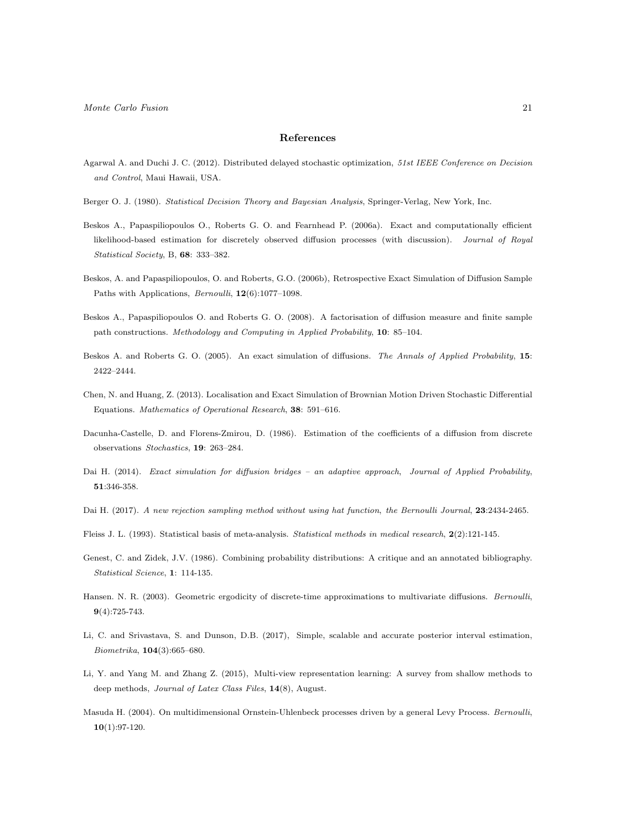#### References

- <span id="page-20-4"></span>Agarwal A. and Duchi J. C. (2012). Distributed delayed stochastic optimization, 51st IEEE Conference on Decision and Control, Maui Hawaii, USA.
- <span id="page-20-0"></span>Berger O. J. (1980). Statistical Decision Theory and Bayesian Analysis, Springer-Verlag, New York, Inc.
- <span id="page-20-8"></span>Beskos A., Papaspiliopoulos O., Roberts G. O. and Fearnhead P. (2006a). Exact and computationally efficient likelihood-based estimation for discretely observed diffusion processes (with discussion). Journal of Royal Statistical Society, B, 68: 333–382.
- <span id="page-20-9"></span>Beskos, A. and Papaspiliopoulos, O. and Roberts, G.O. (2006b), Retrospective Exact Simulation of Diffusion Sample Paths with Applications, *Bernoulli*, **12**(6):1077-1098.
- <span id="page-20-10"></span>Beskos A., Papaspiliopoulos O. and Roberts G. O. (2008). A factorisation of diffusion measure and finite sample path constructions. Methodology and Computing in Applied Probability, 10: 85–104.
- <span id="page-20-13"></span>Beskos A. and Roberts G. O. (2005). An exact simulation of diffusions. The Annals of Applied Probability, 15: 2422–2444.
- <span id="page-20-11"></span>Chen, N. and Huang, Z. (2013). Localisation and Exact Simulation of Brownian Motion Driven Stochastic Differential Equations. Mathematics of Operational Research, 38: 591–616.
- <span id="page-20-7"></span>Dacunha-Castelle, D. and Florens-Zmirou, D. (1986). Estimation of the coefficients of a diffusion from discrete observations Stochastics, 19: 263–284.
- <span id="page-20-12"></span>Dai H. (2014). Exact simulation for diffusion bridges - an adaptive approach, Journal of Applied Probability, 51:346-358.
- <span id="page-20-15"></span>Dai H. (2017). A new rejection sampling method without using hat function, the Bernoulli Journal, 23:2434-2465.
- <span id="page-20-3"></span>Fleiss J. L. (1993). Statistical basis of meta-analysis. Statistical methods in medical research, 2(2):121-145.
- <span id="page-20-1"></span>Genest, C. and Zidek, J.V. (1986). Combining probability distributions: A critique and an annotated bibliography. Statistical Science, 1: 114-135.
- <span id="page-20-6"></span>Hansen. N. R. (2003). Geometric ergodicity of discrete-time approximations to multivariate diffusions. Bernoulli, 9(4):725-743.
- <span id="page-20-5"></span>Li, C. and Srivastava, S. and Dunson, D.B. (2017), Simple, scalable and accurate posterior interval estimation, Biometrika, 104(3):665–680.
- <span id="page-20-2"></span>Li, Y. and Yang M. and Zhang Z. (2015), Multi-view representation learning: A survey from shallow methods to deep methods, Journal of Latex Class Files, 14(8), August.
- <span id="page-20-14"></span>Masuda H. (2004). On multidimensional Ornstein-Uhlenbeck processes driven by a general Levy Process. Bernoulli,  $10(1):97-120.$